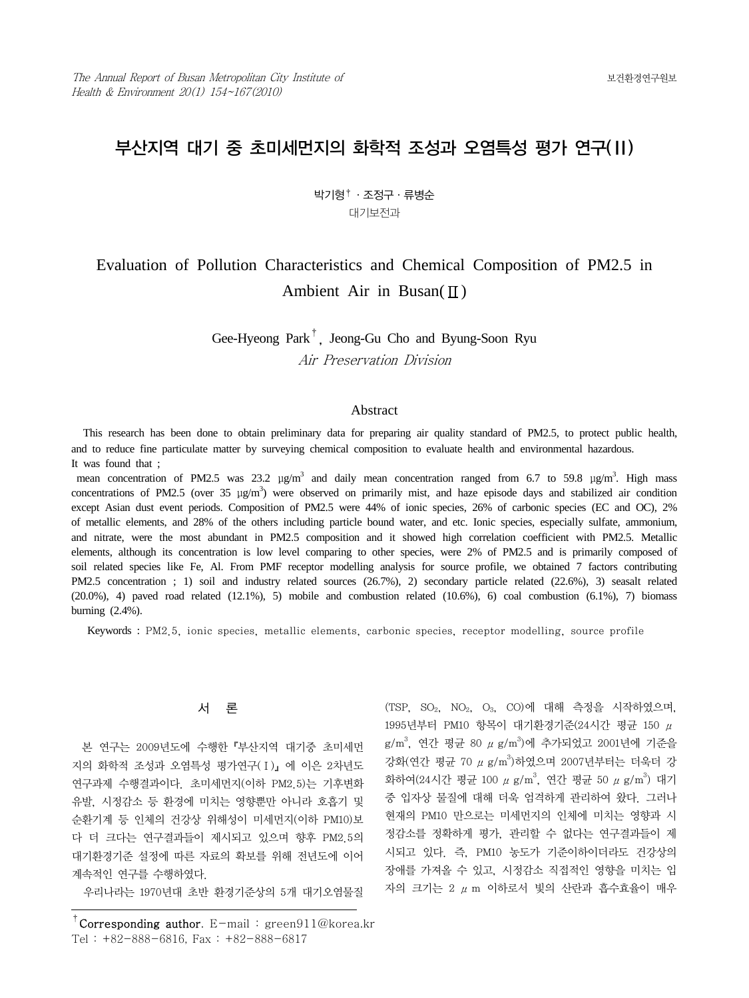# 부산지역 대기 중 초미세먼지의 화학적 조성과 오염특성 평가 연구(Ⅱ)

# 박기형†·조정구·류병순 대기보전과

# Evaluation of Pollution Characteristics and Chemical Composition of PM2.5 in Ambient Air in Busan( $\Pi$ )

Gee-Hyeong Park†, Jeong-Gu Cho and Byung-Soon Ryu Air Preservation Division

## Abstract

 This research has been done to obtain preliminary data for preparing air quality standard of PM2.5, to protect public health, and to reduce fine particulate matter by surveying chemical composition to evaluate health and environmental hazardous. It was found that ;

mean concentration of PM2.5 was 23.2  $\mu$ g/m<sup>3</sup> and daily mean concentration ranged from 6.7 to 59.8  $\mu$ g/m<sup>3</sup>. High mass concentrations of PM2.5 (over 35  $\mu$ g/m<sup>3</sup>) were observed on primarily mist, and haze episode days and stabilized air condition except Asian dust event periods. Composition of PM2.5 were 44% of ionic species, 26% of carbonic species (EC and OC), 2% of metallic elements, and 28% of the others including particle bound water, and etc. Ionic species, especially sulfate, ammonium, and nitrate, were the most abundant in PM2.5 composition and it showed high correlation coefficient with PM2.5. Metallic elements, although its concentration is low level comparing to other species, were 2% of PM2.5 and is primarily composed of soil related species like Fe, Al. From PMF receptor modelling analysis for source profile, we obtained 7 factors contributing PM2.5 concentration ; 1) soil and industry related sources (26.7%), 2) secondary particle related (22.6%), 3) seasalt related  $(20.0\%)$ , 4) paved road related  $(12.1\%)$ , 5) mobile and combustion related  $(10.6\%)$ , 6) coal combustion  $(6.1\%)$ , 7) biomass burning (2.4%).

Keywords : PM2.5, ionic species, metallic elements, carbonic species, receptor modelling, source profile

## 서 론

 본 연구는 2009년도에 수행한『부산지역 대기중 초미세먼 지의 화학적 조성과 오염특성 평가연구(Ⅰ)』에 이은 2차년도 연구과제 수행결과이다. 초미세먼지(이하 PM2.5)는 기후변화 유발, 시정감소 등 환경에 미치는 영향뿐만 아니라 호흡기 및 순환기계 등 인체의 건강상 위해성이 미세먼지(이하 PM10)보 다 더 크다는 연구결과들이 제시되고 있으며 향후 PM2.5의 대기환경기준 설정에 따른 자료의 확보를 위해 전년도에 이어 계속적인 연구를 수행하였다.

우리나라는 1970년대 초반 환경기준상의 5개 대기오염물질

(TSP, SO2, NO2, O3, CO)에 대해 측정을 시작하였으며, 1995년부터 PM10 항목이 대기환경기준(24시간 평균 150 μ  $\rm g/m^3$ , 연간 평균 80  $\mu$   $\rm g/m^3$ )에 추가되었고 2001년에 기준을 강화(연간 평균 70 μ g/m3)하였으며 2007년부터는 더욱더 강 화하여(24시간 평균 100  $\mu$  g/m $^3$ , 연간 평균 50  $\mu$  g/m $^3$ ) 대기 중 입자상 물질에 대해 더욱 엄격하게 관리하여 왔다. 그러나 현재의 PM10 만으로는 미세먼지의 인체에 미치는 영향과 시 정감소를 정확하게 평가, 관리할 수 없다는 연구결과들이 제 시되고 있다. 즉, PM10 농도가 기준이하이더라도 건강상의 장애를 가져올 수 있고, 시정감소 직접적인 영향을 미치는 입 자의 크기는 2 μm 이하로서 빛의 산란과 흡수효율이 매우

<sup>&</sup>lt;sup>†</sup>Corresponding author. E-mail: green911@korea.kr Tel : +82-888-6816, Fax : +82-888-6817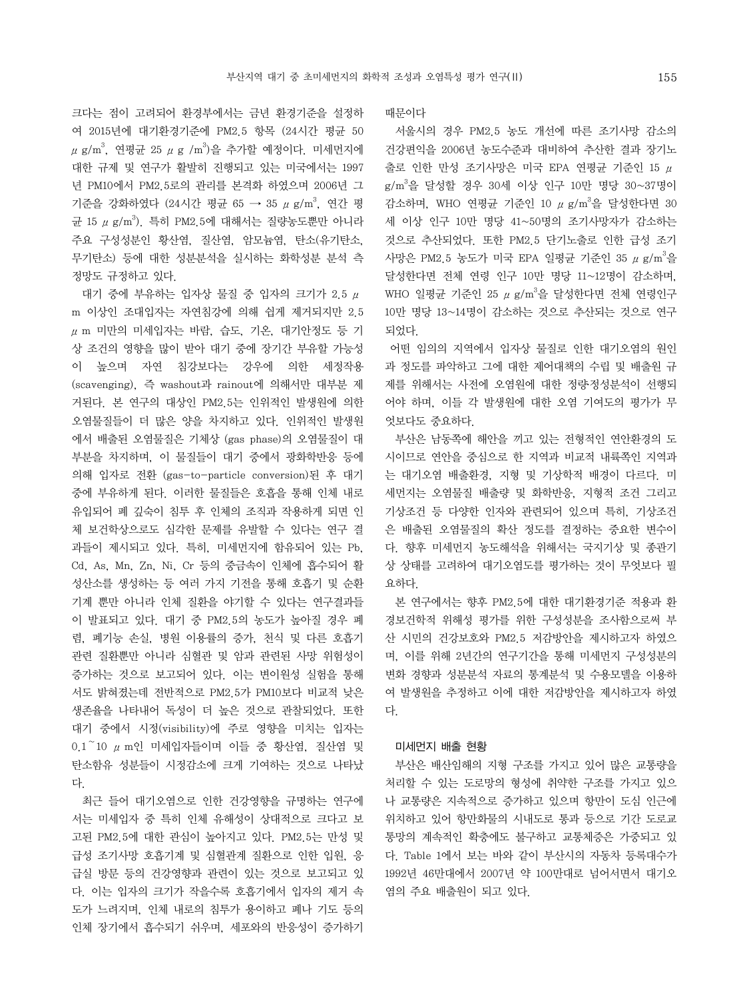크다는 점이 고려되어 환경부에서는 금년 환경기준을 설정하 여 2015년에 대기환경기준에 PM2.5 항목 (24시간 평균 50  $\mu$  g/m $^3$ , 연평균 25  $\mu$  g /m $^3$ )을 추가할 예정이다. 미세먼지에 대한 규제 및 연구가 활발히 진행되고 있는 미국에서는 1997 년 PM10에서 PM2.5로의 관리를 본격화 하였으며 2006년 그 기준을 강화하였다 (24시간 평균 65 → 35  $\mu$  g/m<sup>3</sup>, 연간 평 균 15 μ g/m<sup>3</sup>). 특히 PM2.5에 대해서는 질량농도뿐만 아니라 주요 구성성분인 황산염, 질산염, 암모늄염, 탄소(유기탄소, 무기탄소) 등에 대한 성분분석을 실시하는 화학성분 분석 측 정망도 규정하고 있다.

 대기 중에 부유하는 입자상 물질 중 입자의 크기가 2.5 μ m 이상인 조대입자는 자연침강에 의해 쉽게 제거되지만 2.5  $\mu$  m 미만의 미세입자는 바람, 습도, 기온, 대기안정도 등 기 상 조건의 영향을 많이 받아 대기 중에 장기간 부유할 가능성 이 높으며 자연 침강보다는 강우에 의한 세정작용 (scavenging), 즉 washout과 rainout에 의해서만 대부분 제 거된다. 본 연구의 대상인 PM2.5는 인위적인 발생원에 의한 오염물질들이 더 많은 양을 차지하고 있다. 인위적인 발생원 에서 배출된 오염물질은 기체상 (gas phase)의 오염물질이 대 부분을 차지하며, 이 물질들이 대기 중에서 광화학반응 등에 의해 입자로 전환 (gas-to-particle conversion)된 후 대기 중에 부유하게 된다. 이러한 물질들은 호흡을 통해 인체 내로 유입되어 폐 깊숙이 침투 후 인체의 조직과 작용하게 되면 인 체 보건학상으로도 심각한 문제를 유발할 수 있다는 연구 결 과들이 제시되고 있다. 특히, 미세먼지에 함유되어 있는 Pb, Cd, As, Mn, Zn, Ni, Cr 등의 중금속이 인체에 흡수되어 활 성산소를 생성하는 등 여러 가지 기전을 통해 호흡기 및 순환 기계 뿐만 아니라 인체 질환을 야기할 수 있다는 연구결과들 이 발표되고 있다. 대기 중 PM2.5의 농도가 높아질 경우 폐 렴, 폐기능 손실, 병원 이용률의 증가, 천식 및 다른 호흡기 관련 질환뿐만 아니라 심혈관 및 암과 관련된 사망 위험성이 증가하는 것으로 보고되어 있다. 이는 변이원성 실험을 통해 서도 밝혀졌는데 전반적으로 PM2.5가 PM10보다 비교적 낮은 생존율을 나타내어 독성이 더 높은 것으로 관찰되었다. 또한 대기 중에서 시정(visibility)에 주로 영향을 미치는 입자는 0.1~10 μm인 미세입자들이며 이들 중 황산염, 질산염 및 탄소함유 성분들이 시정감소에 크게 기여하는 것으로 나타났 다.

 최근 들어 대기오염으로 인한 건강영향을 규명하는 연구에 서는 미세입자 중 특히 인체 유해성이 상대적으로 크다고 보 고된 PM2.5에 대한 관심이 높아지고 있다. PM2.5는 만성 및 급성 조기사망 호흡기계 및 심혈관계 질환으로 인한 입원, 응 급실 방문 등의 건강영향과 관련이 있는 것으로 보고되고 있 다. 이는 입자의 크기가 작을수록 호흡기에서 입자의 제거 속 도가 느려지며, 인체 내로의 침투가 용이하고 폐나 기도 등의 인체 장기에서 흡수되기 쉬우며, 세포와의 반응성이 증가하기 때문이다

 서울시의 경우 PM2.5 농도 개선에 따른 조기사망 감소의 건강편익을 2006년 농도수준과 대비하여 추산한 결과 장기노  $\frac{1}{2}$ 로 인한 만성 조기사망은 미국 EPA 연평균 기준인 15  $\mu$ g/m3 을 달성할 경우 30세 이상 인구 10만 명당 30~37명이 감소하며, WHO 연평균 기준인 10  $\mu$  g/m<sup>3</sup>을 달성한다면 30 세 이상 인구 10만 명당 41~50명의 조기사망자가 감소하는 것으로 추산되었다. 또한 PM2.5 단기노출로 인한 급성 조기 사망은 PM2.5 농도가 미국 EPA 일평균 기준인 35  $\mu$  g/m $^3$ 을 달성한다면 전체 연령 인구 10만 명당 11~12명이 감소하며, WHO 일평균 기준인 25  $\mu$  g/m<sup>3</sup>을 달성한다면 전체 연령인구 10만 명당 13~14명이 감소하는 것으로 추산되는 것으로 연구 되었다.

 어떤 임의의 지역에서 입자상 물질로 인한 대기오염의 원인 과 정도를 파악하고 그에 대한 제어대책의 수립 및 배출원 규 제를 위해서는 사전에 오염원에 대한 정량·정성분석이 선행되 어야 하며, 이들 각 발생원에 대한 오염 기여도의 평가가 무 엇보다도 중요하다.

 부산은 남동쪽에 해안을 끼고 있는 전형적인 연안환경의 도 시이므로 연안을 중심으로 한 지역과 비교적 내륙쪽인 지역과 는 대기오염 배출환경, 지형 및 기상학적 배경이 다르다. 미 세먼지는 오염물질 배출량 및 화학반응, 지형적 조건 그리고 기상조건 등 다양한 인자와 관련되어 있으며 특히, 기상조건 은 배출된 오염물질의 확산 정도를 결정하는 중요한 변수이 다. 향후 미세먼지 농도해석을 위해서는 국지기상 및 종관기 상 상태를 고려하여 대기오염도를 평가하는 것이 무엇보다 필 요하다.

 본 연구에서는 향후 PM2.5에 대한 대기환경기준 적용과 환 경보건학적 위해성 평가를 위한 구성성분을 조사함으로써 부 산 시민의 건강보호와 PM2.5 저감방안을 제시하고자 하였으 며, 이를 위해 2년간의 연구기간을 통해 미세먼지 구성성분의 변화 경향과 성분분석 자료의 통계분석 및 수용모델을 이용하 여 발생원을 추정하고 이에 대한 저감방안을 제시하고자 하였 다.

### 미세먼지 배출 현황

 부산은 배산임해의 지형 구조를 가지고 있어 많은 교통량을 처리할 수 있는 도로망의 형성에 취약한 구조를 가지고 있으 나 교통량은 지속적으로 증가하고 있으며 항만이 도심 인근에 위치하고 있어 항만화물의 시내도로 통과 등으로 기간 도로교 통망의 계속적인 확충에도 불구하고 교통체증은 가중되고 있 다. Table 1에서 보는 바와 같이 부산시의 자동차 등록대수가 1992년 46만대에서 2007년 약 100만대로 넘어서면서 대기오 염의 주요 배출원이 되고 있다.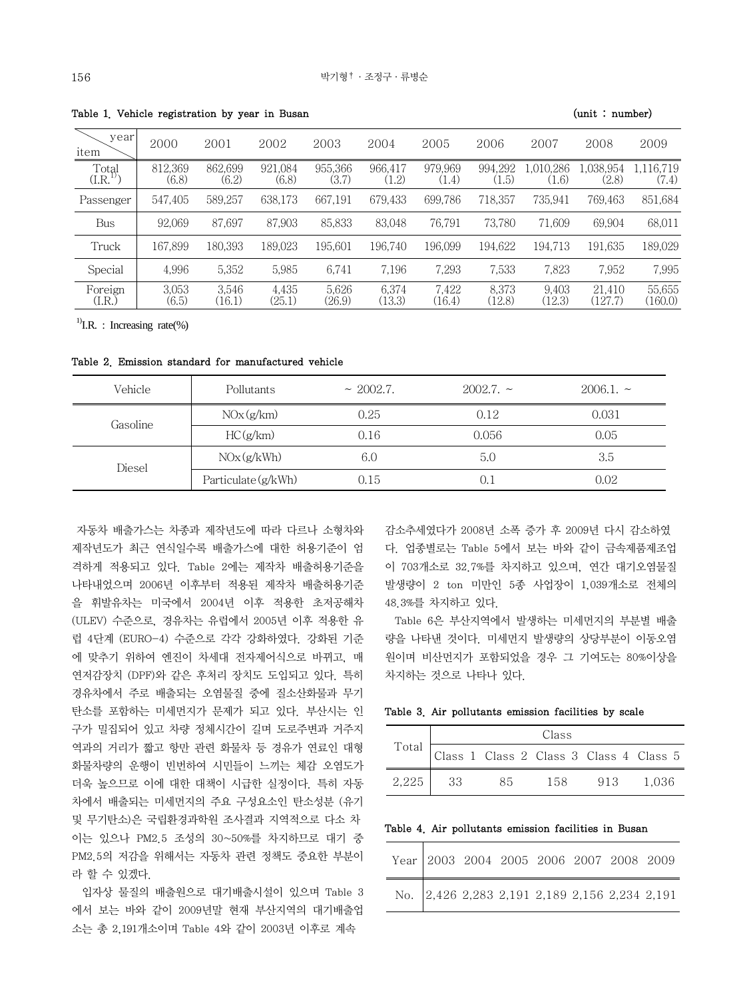| year<br>item      | 2000             | 2001             | 2002             | 2003             | 2004            | 2005             | 2006             | 2007               | 2008               | 2009               |
|-------------------|------------------|------------------|------------------|------------------|-----------------|------------------|------------------|--------------------|--------------------|--------------------|
| Total<br>(I.R.    | 812.369<br>(6.8) | 862.699<br>(6.2) | 921.084<br>(6.8) | 955.366<br>(3.7) | 966.417<br>1.2) | 979,969<br>(1.4) | 994.292<br>(1.5) | 1.010.286<br>(1.6) | 1.038.954<br>(2.8) | 1.116.719<br>(7.4) |
| Passenger         | 547.405          | 589.257          | 638.173          | 667.191          | 679.433         | 699.786          | 718,357          | 735.941            | 769,463            | 851,684            |
| Bus               | 92.069           | 87.697           | 87.903           | 85,833           | 83.048          | 76.791           | 73.780           | 71.609             | 69.904             | 68,011             |
| Truck             | 167.899          | 180.393          | 189.023          | 195.601          | 196.740         | 196.099          | 194.622          | 194.713            | 191.635            | 189,029            |
| Special           | 4.996            | 5,352            | 5,985            | 6.741            | 7.196           | 7,293            | 7,533            | 7,823              | 7,952              | 7,995              |
| Foreign<br>(I.R.) | 3.053<br>(6.5)   | 3.546<br>(16.1)  | 4.435<br>(25.1)  | 5.626<br>(26.9)  | 6.374<br>(13.3) | 7,422<br>(16.4)  | 8.373<br>(12.8)  | 9.403<br>(12.3)    | 21.410<br>(127.7)  | 55.655<br>(160.0)  |

Table 1. Vehicle registration by year in Busan (unit : number)

<sup>1)</sup>I.R. : Increasing rate(%)

Table 2. Emission standard for manufactured vehicle

| Vehicle  | Pollutants          | $\sim 2002.7$ . | $2002.7.~\sim$ | $2006.1.~\sim$ |
|----------|---------------------|-----------------|----------------|----------------|
| Gasoline | NOx(g/km)           | 0.25            | 0.12           | 0.031          |
|          | HC(g/km)            | 0.16            | 0.056          | 0.05           |
| Diesel   | NOx(g/kWh)          | 6.0             | 5.0            | 3.5            |
|          | Particulate (g/kWh) | 0.15            | 0.1            | 0.02           |

자동차 배출가스는 차종과 제작년도에 따라 다르나 소형차와 제작년도가 최근 연식일수록 배출가스에 대한 허용기준이 엄 격하게 적용되고 있다. Table 2에는 제작차 배출허용기준을 나타내었으며 2006년 이후부터 적용된 제작차 배출허용기준 을 휘발유차는 미국에서 2004년 이후 적용한 초저공해차 (ULEV) 수준으로, 경유차는 유럽에서 2005년 이후 적용한 유 럽 4단계 (EURO-4) 수준으로 각각 강화하였다. 강화된 기준 에 맞추기 위하여 엔진이 차세대 전자제어식으로 바뀌고, 매 연저감장치 (DPF)와 같은 후처리 장치도 도입되고 있다. 특히 경유차에서 주로 배출되는 오염물질 중에 질소산화물과 무기 탄소를 포함하는 미세먼지가 문제가 되고 있다. 부산시는 인 구가 밀집되어 있고 차량 정체시간이 길며 도로주변과 거주지 역과의 거리가 짧고 항만 관련 화물차 등 경유가 연료인 대형 화물차량의 운행이 빈번하여 시민들이 느끼는 체감 오염도가 더욱 높으므로 이에 대한 대책이 시급한 실정이다. 특히 자동 차에서 배출되는 미세먼지의 주요 구성요소인 탄소성분 (유기 및 무기탄소)은 국립환경과학원 조사결과 지역적으로 다소 차 이는 있으나 PM2.5 조성의 30~50%를 차지하므로 대기 중 PM2.5의 저감을 위해서는 자동차 관련 정책도 중요한 부분이 라 할 수 있겠다.

 입자상 물질의 배출원으로 대기배출시설이 있으며 Table 3 에서 보는 바와 같이 2009년말 현재 부산지역의 대기배출업 소는 총 2,191개소이며 Table 4와 같이 2003년 이후로 계속

감소추세였다가 2008년 소폭 증가 후 2009년 다시 감소하였 다. 업종별로는 Table 5에서 보는 바와 같이 금속제품제조업 이 703개소로 32.7%를 차지하고 있으며, 연간 대기오염물질 발생량이 2 ton 미만인 5종 사업장이 1,039개소로 전체의 48.3%를 차지하고 있다.

 Table 6은 부산지역에서 발생하는 미세먼지의 부분별 배출 량을 나타낸 것이다. 미세먼지 발생량의 상당부분이 이동오염 원이며 비산먼지가 포함되었을 경우 그 기여도는 80%이상을 차지하는 것으로 나타나 있다.

| Table 3. Air pollutants emission facilities by scale |  |
|------------------------------------------------------|--|
|------------------------------------------------------|--|

| Total $\Gamma$ | Class |                                         |       |     |         |  |  |  |  |
|----------------|-------|-----------------------------------------|-------|-----|---------|--|--|--|--|
|                |       | Class 1 Class 2 Class 3 Class 4 Class 5 |       |     |         |  |  |  |  |
| $2.225$        | - 33  | 85                                      | 158 - | 913 | - 1.036 |  |  |  |  |

Table 4. Air pollutants emission facilities in Busan

|  |  | Year 2003 2004 2005 2006 2007 2008 2009 |  |                                               |
|--|--|-----------------------------------------|--|-----------------------------------------------|
|  |  |                                         |  | No. 2,426 2,283 2,191 2,189 2,156 2,234 2,191 |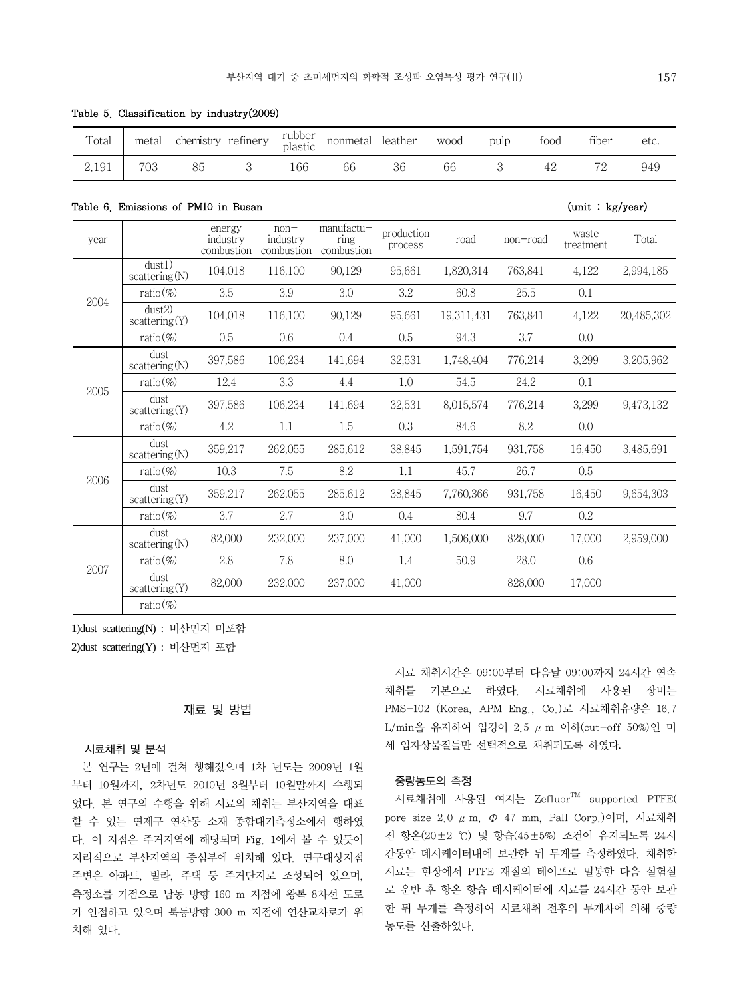nonmetal leather wood pulp food fiber etc.

| 2,191 | 703                                 | 3<br>85                          | 166                              | 66                                 | 36                    | 66         | 3<br>42  | 72                 | 949        |
|-------|-------------------------------------|----------------------------------|----------------------------------|------------------------------------|-----------------------|------------|----------|--------------------|------------|
|       | Table 6. Emissions of PM10 in Busan |                                  |                                  |                                    |                       |            |          | (unit : kg/year)   |            |
| year  |                                     | energy<br>industry<br>combustion | $non-$<br>industry<br>combustion | $manufactu-$<br>ring<br>combustion | production<br>process | road       | non-road | waste<br>treatment | Total      |
|       | dust1)<br>scattering(N)             | 104,018                          | 116,100                          | 90.129                             | 95.661                | 1,820,314  | 763.841  | 4,122              | 2,994,185  |
| 2004  | ratio $(\%)$                        | 3.5                              | 3.9                              | 3.0                                | 3.2                   | 60.8       | 25.5     | 0.1                |            |
|       | dust2)<br>scattering(Y)             | 104,018                          | 116,100                          | 90,129                             | 95,661                | 19,311,431 | 763,841  | 4,122              | 20,485,302 |
|       | ratio $(\%)$                        | 0.5                              | 0.6                              | 0.4                                | 0.5                   | 94.3       | 3.7      | 0.0                |            |
|       | dust<br>scattering(N)               | 397,586                          | 106,234                          | 141,694                            | 32,531                | 1,748,404  | 776,214  | 3,299              | 3,205,962  |
| 2005  | ratio $(\%)$                        | 12.4                             | 3.3                              | 4.4                                | 1.0                   | 54.5       | 24.2     | 0.1                |            |
|       | dust<br>scattering(Y)               | 397,586                          | 106,234                          | 141,694                            | 32,531                | 8,015,574  | 776,214  | 3,299              | 9,473,132  |
|       | $ratio(\%)$                         | 4.2                              | 1.1                              | 1.5                                | 0.3                   | 84.6       | 8.2      | 0.0                |            |
|       | dust<br>scattering(N)               | 359,217                          | 262,055                          | 285,612                            | 38,845                | 1,591,754  | 931,758  | 16,450             | 3,485,691  |
| 2006  | ratio $(\%)$                        | 10.3                             | 7.5                              | 8.2                                | 1.1                   | 45.7       | 26.7     | 0.5                |            |
|       | dust<br>scattering(Y)               | 359,217                          | 262,055                          | 285,612                            | 38,845                | 7,760,366  | 931,758  | 16,450             | 9,654,303  |
|       | ratio $(\%)$                        | 3.7                              | 2.7                              | 3.0                                | 0.4                   | 80.4       | 9.7      | 0.2                |            |
|       | dust<br>scattering(N)               | 82,000                           | 232,000                          | 237,000                            | 41,000                | 1,506,000  | 828,000  | 17,000             | 2,959,000  |
| 2007  | ratio $(\%)$                        | 2.8                              | 7.8                              | 8.0                                | 1.4                   | 50.9       | 28.0     | 0.6                |            |
|       | dust<br>scattering(Y)               | 82,000                           | 232,000                          | 237,000                            | 41,000                |            | 828,000  | 17,000             |            |

|  | Table 5. Classification by industry(2009) |  |  |  |  |
|--|-------------------------------------------|--|--|--|--|
|--|-------------------------------------------|--|--|--|--|

Total metal chemistry refinery rubber

1)dust scattering(N) : 비산먼지 미포함

ratio(%)

2)dust scattering(Y) : 비산먼지 포함

# 재료 및 방법

## 시료채취 및 분석

 본 연구는 2년에 걸쳐 행해졌으며 1차 년도는 2009년 1월 부터 10월까지, 2차년도 2010년 3월부터 10월말까지 수행되 었다. 본 연구의 수행을 위해 시료의 채취는 부산지역을 대표 할 수 있는 연제구 연산동 소재 종합대기측정소에서 행하였 다. 이 지점은 주거지역에 해당되며 Fig. 1에서 볼 수 있듯이 지리적으로 부산지역의 중심부에 위치해 있다. 연구대상지점 주변은 아파트, 빌라, 주택 등 주거단지로 조성되어 있으며, 측정소를 기점으로 남동 방향 160 m 지점에 왕복 8차선 도로 가 인접하고 있으며 북동방향 300 m 지점에 연산교차로가 위 치해 있다.

 시료 채취시간은 09:00부터 다음날 09:00까지 24시간 연속 채취를 기본으로 하였다. 시료채취에 사용된 장비는 PMS-102 (Korea, APM Eng., Co.)로 시료채취유량은 16.7 L/min을 유지하여 입경이 2.5 μm 이하(cut-off 50%)인 미 세 입자상물질들만 선택적으로 채취되도록 하였다.

#### 중량농도의 측정

시료채취에 사용된 여지는 Zefluor™ supported PTFE( pore size 2.0 μm, Φ 47 mm, Pall Corp.)이며, 시료채취 전 항온(20±2 ℃) 및 항습(45±5%) 조건이 유지되도록 24시 간동안 데시케이터내에 보관한 뒤 무게를 측정하였다. 채취한 시료는 현장에서 PTFE 재질의 테이프로 밀봉한 다음 실험실 로 운반 후 항온 항습 데시케이터에 시료를 24시간 동안 보관 한 뒤 무게를 측정하여 시료채취 전후의 무게차에 의해 중량 농도를 산출하였다.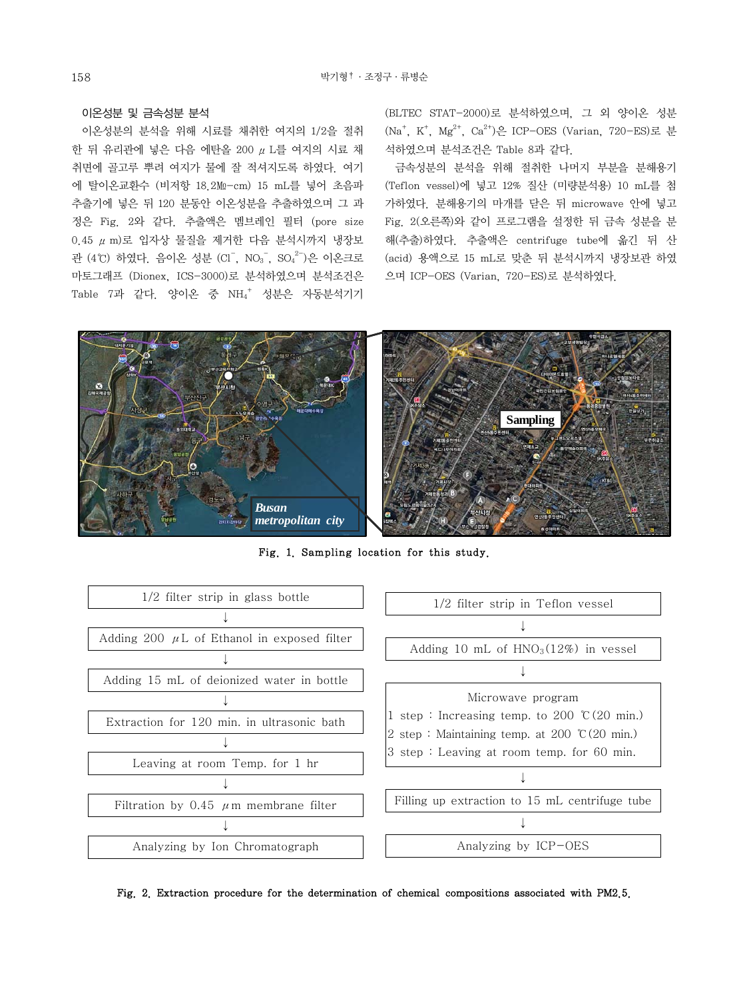## 이온성분 및 금속성분 분석

 이온성분의 분석을 위해 시료를 채취한 여지의 1/2을 절취 한 뒤 유리관에 넣은 다음 에탄올 200 μL를 여지의 시료 채 취면에 골고루 뿌려 여지가 물에 잘 적셔지도록 하였다. 여기 에 탈이온교환수 (비저항 18.2㏁-cm) 15 mL를 넣어 초음파 추출기에 넣은 뒤 120 분동안 이온성분을 추출하였으며 그 과 정은 Fig. 2와 같다. 추출액은 멤브레인 필터 (pore size 0.45 μm)로 입자상 물질을 제거한 다음 분석시까지 냉장보 관 (4°C) 하였다. 음이온 성분 (Cl<sup>-</sup>, NO<sub>3</sub><sup>-</sup>, SO<sub>4</sub><sup>2-</sup>)은 이온크로 마토그래프 (Dionex, ICS-3000)로 분석하였으며 분석조건은 Table 7과 같다. 양이온 중 NH4<sup>+</sup> 성분은 자동분석기기 (BLTEC STAT-2000)로 분석하였으며, 그 외 양이온 성분 (Na<sup>+</sup>, K<sup>+</sup>, Mg<sup>2+</sup>, Ca<sup>2+</sup>)은 ICP-OES (Varian, 720-ES)로 분 석하였으며 분석조건은 Table 8과 같다.

 금속성분의 분석을 위해 절취한 나머지 부분을 분해용기 (Teflon vessel)에 넣고 12% 질산 (미량분석용) 10 mL를 첨 가하였다. 분해용기의 마개를 닫은 뒤 microwave 안에 넣고 Fig. 2(오른쪽)와 같이 프로그램을 설정한 뒤 금속 성분을 분 해(추출)하였다. 추출액은 centrifuge tube에 옮긴 뒤 산 (acid) 용액으로 15 mL로 맞춘 뒤 분석시까지 냉장보관 하였 으며 ICP-OES (Varian, 720-ES)로 분석하였다.



Fig. 1. Sampling location for this study.



Fig. 2. Extraction procedure for the determination of chemical compositions associated with PM2.5.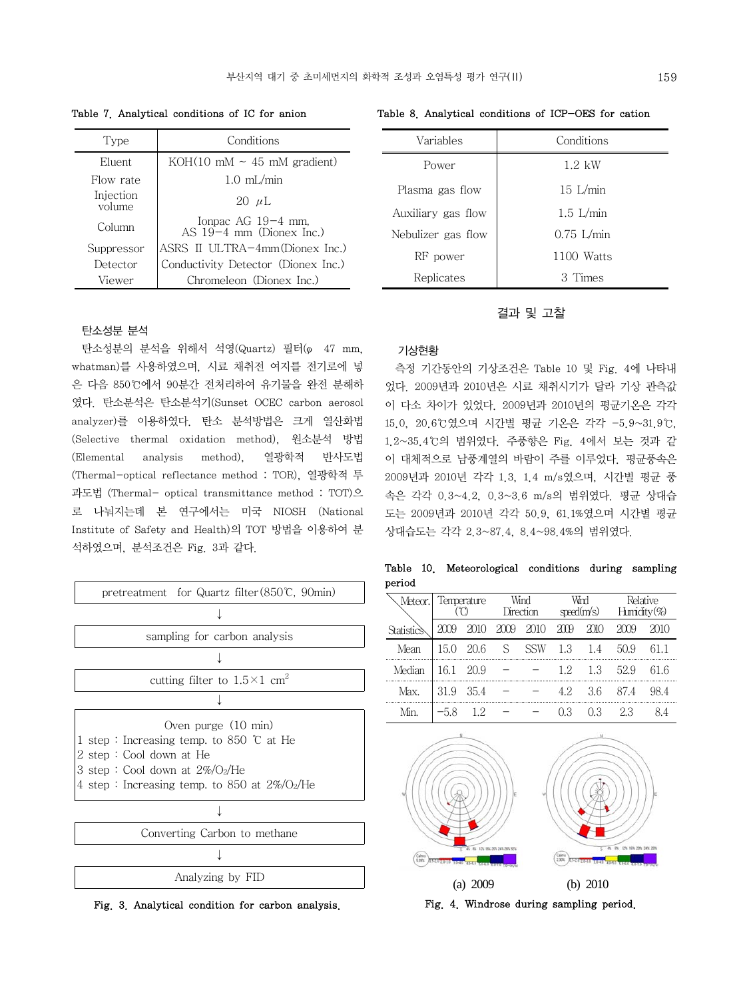| Type                | Conditions                                                |
|---------------------|-----------------------------------------------------------|
| Eluent              | KOH $(10 \text{ mM} \sim 45 \text{ mM} \text{ gradient})$ |
| Flow rate           | $1.0$ mL/min                                              |
| Injection<br>volume | 20 $\mu$ L                                                |
| Column              | Ionpac AG 19-4 mm,<br>AS $19-4$ mm (Dionex Inc.)          |
| Suppressor          | ASRS II ULTRA-4mm(Dionex Inc.)                            |
| Detector            | Conductivity Detector (Dionex Inc.)                       |
| Viewer              | Chromeleon (Dionex Inc.)                                  |

## 탄소성분 분석

 탄소성분의 분석을 위해서 석영(Quartz) 필터(φ 47 mm, whatman)를 사용하였으며, 시료 채취전 여지를 전기로에 넣 은 다음 850℃에서 90분간 전처리하여 유기물을 완전 분해하 였다. 탄소분석은 탄소분석기(Sunset OCEC carbon aerosol analyzer)를 이용하였다. 탄소 분석방법은 크게 열산화법 (Selective thermal oxidation method), 원소분석 방법 (Elemental analysis method), 열광학적 반사도법 (Thermal-optical reflectance method : TOR), 열광학적 투 과도법 (Thermal- optical transmittance method : TOT)으 로 나눠지는데 본 연구에서는 미국 NIOSH (National Institute of Safety and Health)의 TOT 방법을 이용하여 분 석하였으며, 분석조건은 Fig. 3과 같다.



Fig. 3. Analytical condition for carbon analysis.

Table 7. Analytical conditions of IC for anion Table 8. Analytical conditions of ICP-OES for cation

| Variables          | Conditions       |
|--------------------|------------------|
| Power              | $1.2 \text{ kW}$ |
| Plasma gas flow    | $15$ L/min       |
| Auxiliary gas flow | $1.5$ L/min      |
| Nebulizer gas flow | $0.75$ L/min     |
| RF power           | 1100 Watts       |
| Replicates         | 3 Times          |

## 결과 및 고찰

#### 기상현황

 측정 기간동안의 기상조건은 Table 10 및 Fig. 4에 나타내 었다. 2009년과 2010년은 시료 채취시기가 달라 기상 관측값 이 다소 차이가 있었다. 2009년과 2010년의 평균기온은 각각 15.0, 20.6℃였으며 시간별 평균 기온은 각각 -5.9~31.9℃, 1.2~35.4℃의 범위였다. 주풍향은 Fig. 4에서 보는 것과 같 이 대체적으로 남풍계열의 바람이 주를 이루었다. 평균풍속은 2009년과 2010년 각각 1.3, 1.4 m/s였으며, 시간별 평균 풍 속은 각각 0.3~4.2, 0.3~3.6 m/s의 범위였다. 평균 상대습 도는 2009년과 2010년 각각 50.9, 61.1%였으며 시간별 평균 상대습도는 각각 2.3~87.4, 8.4~98.4%의 범위였다.

Table 10. Meteorological conditions during sampling period

|        | Meteor.  Temperature |           | Wind<br>Direction |     | Wird<br>speed(m/s) |                 | Relative<br>Humidity $(\%)$ |      |
|--------|----------------------|-----------|-------------------|-----|--------------------|-----------------|-----------------------------|------|
|        | 2009                 | 2010      | 2009 2010         |     | 200                | 2010            | 7 Y Y                       | 201O |
| Mean   | 15.0                 | - 20.6    | S                 | SSW |                    | $1.3 \quad 1.4$ | 50.9                        | 61.1 |
| Median | 16.1 20.9            |           |                   |     | 12                 | 1.3             | 529                         | 61.6 |
| Max.   |                      | 31.9 35.4 |                   |     | 4.2                | 36              | 87.4                        | 98.4 |
|        | $-5.8$               |           |                   |     |                    | O 3             |                             |      |



Fig. 4. Windrose during sampling period.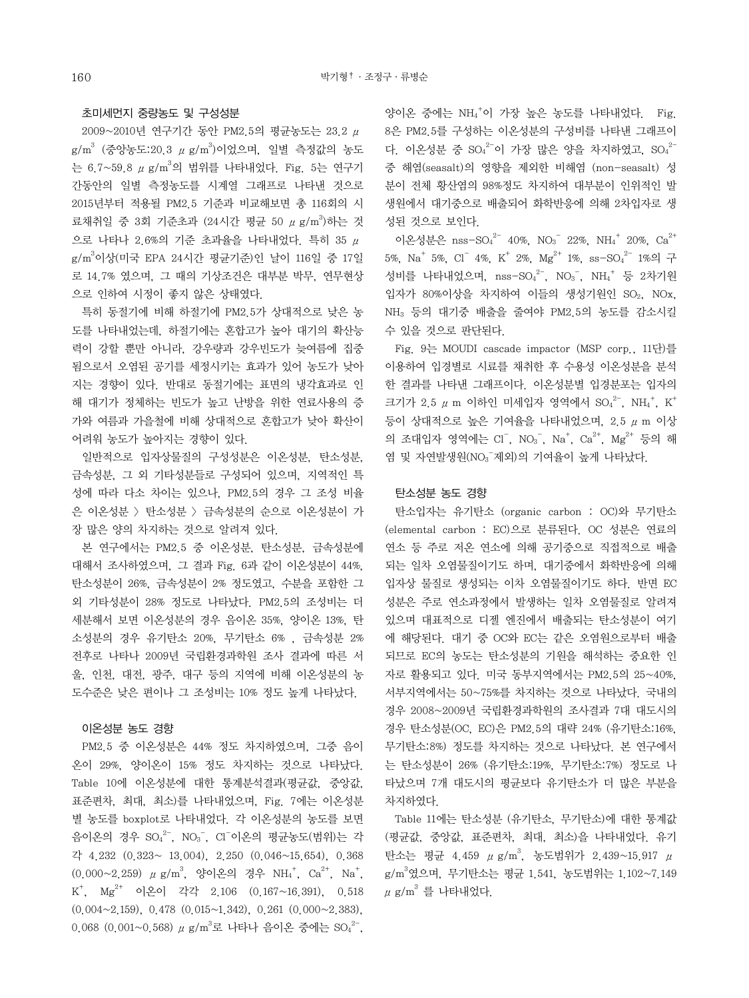## 초미세먼지 중량농도 및 구성성분

 2009~2010년 연구기간 동안 PM2.5의 평균농도는 23.2 μ  $\rm g/m^3$  (중앙농도:20.3  $\rm \mu \ g/m^3$ )이었으며, 일별 측정값의 농도 는 6.7~59.8  $\mu$  g/m $^3$ 의 범위를 나타내었다. Fig. 5는 연구기 간동안의 일별 측정농도를 시계열 그래프로 나타낸 것으로 2015년부터 적용될 PM2.5 기준과 비교해보면 총 116회의 시 료채취일 중 3회 기준초과 (24시간 평균 50 μ g/m<sup>3</sup>)하는 것 으로 나타나 2.6%의 기준 초과율을 나타내었다. 특히 35 μ g/m3 이상(미국 EPA 24시간 평균기준)인 날이 116일 중 17일 로 14.7% 였으며, 그 때의 기상조건은 대부분 박무, 연무현상 으로 인하여 시정이 좋지 않은 상태였다.

 특히 동절기에 비해 하절기에 PM2.5가 상대적으로 낮은 농 도를 나타내었는데, 하절기에는 혼합고가 높아 대기의 확산능 력이 강할 뿐만 아니라, 강우량과 강우빈도가 늦여름에 집중 됨으로서 오염된 공기를 세정시키는 효과가 있어 농도가 낮아 지는 경향이 있다. 반대로 동절기에는 표면의 냉각효과로 인 해 대기가 정체하는 빈도가 높고 난방을 위한 연료사용의 증 가와 여름과 가을철에 비해 상대적으로 혼합고가 낮아 확산이 어려워 농도가 높아지는 경향이 있다.

 일반적으로 입자상물질의 구성성분은 이온성분, 탄소성분, 금속성분, 그 외 기타성분들로 구성되어 있으며, 지역적인 특 성에 따라 다소 차이는 있으나, PM2.5의 경우 그 조성 비율 은 이온성분 > 탄소성분 > 금속성분의 순으로 이온성분이 가 장 많은 양의 차지하는 것으로 알려져 있다.

 본 연구에서는 PM2.5 중 이온성분, 탄소성분, 금속성분에 대해서 조사하였으며, 그 결과 Fig. 6과 같이 이온성분이 44%, 탄소성분이 26%, 금속성분이 2% 정도였고, 수분을 포함한 그 외 기타성분이 28% 정도로 나타났다. PM2.5의 조성비는 더 세분해서 보면 이온성분의 경우 음이온 35%, 양이온 13%, 탄 소성분의 경우 유기탄소 20%, 무기탄소 6% , 금속성분 2% 전후로 나타나 2009년 국립환경과학원 조사 결과에 따른 서 울, 인천, 대전, 광주, 대구 등의 지역에 비해 이온성분의 농 도수준은 낮은 편이나 그 조성비는 10% 정도 높게 나타났다.

## 이온성분 농도 경향

 PM2.5 중 이온성분은 44% 정도 차지하였으며, 그중 음이 온이 29%, 양이온이 15% 정도 차지하는 것으로 나타났다. Table 10에 이온성분에 대한 통계분석결과(평균값, 중앙값, 표준편차, 최대, 최소)를 나타내었으며, Fig. 7에는 이온성분 별 농도를 boxplot로 나타내었다. 각 이온성분의 농도를 보면 음이온의 경우 SO4<sup>2-</sup>, NO<sub>3</sub><sup>-</sup>, Cl<sup>-</sup>이온의 평균농도(범위)는 각 각 4.232 (0.323~ 13.004), 2.250 (0.046~15.654), 0.368  $(0.000~2.259)$   $\mu$  g/m<sup>3</sup>, 양이온의 경우 NH<sub>4</sub><sup>+</sup>, Ca<sup>2+</sup>, Na<sup>+</sup>,  $K^+$ ,  $Mg^{2+}$  이온이 각각 2.106  $(0.167~16.391)$ , 0.518 (0.004~2.159), 0.478 (0.015~1.342), 0.261 (0.000~2.383), 0.068 (0.001~0.568)  $\mu$  g/m $^3$ 로 나타나 음이온 중에는 SO $_4^{2-}$ ,

양이온 중에는 NH4 + 이 가장 높은 농도를 나타내었다. Fig. 8은 PM2.5를 구성하는 이온성분의 구성비를 나타낸 그래프이 다. 이온성분 중  ${SO_4}^{2-}$ 이 가장 많은 양을 차지하였고,  ${SO_4}^{2-}$ 중 해염(seasalt)의 영향을 제외한 비해염 (non-seasalt) 성 분이 전체 황산염의 98%정도 차지하여 대부분이 인위적인 발 생원에서 대기중으로 배출되어 화학반응에 의해 2차입자로 생 성된 것으로 보인다.

이온성분은  $nss-SO<sub>4</sub><sup>2-</sup> 40%, NO<sub>3</sub><sup>-</sup> 22%, NH<sub>4</sub><sup>+</sup> 20%, Ca<sup>2+</sup>$ 5%, Na<sup>+</sup> 5%, Cl<sup>-</sup> 4%, K<sup>+</sup> 2%, Mg<sup>2+</sup> 1%, ss-SO<sub>4</sub><sup>2-</sup> 1%의 구 성비를 나타내었으며, nss-SO4<sup>2-</sup>, NO<sub>3</sub><sup>-</sup>, NH<sub>4</sub><sup>+</sup> 등 2차기원 입자가 80%이상을 차지하여 이들의 생성기원인 SO<sub>2</sub>, NOx, NH3 등의 대기중 배출을 줄여야 PM2.5의 농도를 감소시킬 수 있을 것으로 판단된다.

 Fig. 9는 MOUDI cascade impactor (MSP corp., 11단)를 이용하여 입경별로 시료를 채취한 후 수용성 이온성분을 분석 한 결과를 나타낸 그래프이다. 이온성분별 입경분포는 입자의 크기가 2.5  $\mu$  m 이하인 미세입자 영역에서 SO4<sup>2-</sup>, NH<sub>4</sub><sup>+</sup>, K<sup>+</sup> 등이 상대적으로 높은 기여율을 나타내었으며, 2.5 μm 이상 의 조대입자 영역에는 Cl<sup>-</sup>, NO<sub>3</sub><sup>-</sup>, Na<sup>+</sup>, Ca<sup>2+</sup>, Mg<sup>2+</sup> 등의 해 염 및 자연발생원(NO3 제외)의 기여율이 높게 나타났다.

#### 탄소성분 농도 경향

 탄소입자는 유기탄소 (organic carbon : OC)와 무기탄소 (elemental carbon : EC)으로 분류된다. OC 성분은 연료의 연소 등 주로 저온 연소에 의해 공기중으로 직접적으로 배출 되는 일차 오염물질이기도 하며, 대기중에서 화학반응에 의해 입자상 물질로 생성되는 이차 오염물질이기도 하다. 반면 EC 성분은 주로 연소과정에서 발생하는 일차 오염물질로 알려져 있으며 대표적으로 디젤 엔진에서 배출되는 탄소성분이 여기 에 해당된다. 대기 중 OC와 EC는 같은 오염원으로부터 배출 되므로 EC의 농도는 탄소성분의 기원을 해석하는 중요한 인 자로 활용되고 있다. 미국 동부지역에서는 PM2.5의 25~40%, 서부지역에서는 50~75%를 차지하는 것으로 나타났다. 국내의 경우 2008~2009년 국립환경과학원의 조사결과 7대 대도시의 경우 탄소성분(OC, EC)은 PM2.5의 대략 24% (유기탄소:16%, 무기탄소:8%) 정도를 차지하는 것으로 나타났다. 본 연구에서 는 탄소성분이 26% (유기탄소:19%, 무기탄소:7%) 정도로 나 타났으며 7개 대도시의 평균보다 유기탄소가 더 많은 부분을 차지하였다.

 Table 11에는 탄소성분 (유기탄소, 무기탄소)에 대한 통계값 (평균값, 중앙값, 표준편차, 최대, 최소)을 나타내었다. 유기 탄소는 평균 4.459  $\mu$  g/m<sup>3</sup>, 농도범위가 2.439~15.917  $\mu$ g/m3 였으며, 무기탄소는 평균 1.541, 농도범위는 1.102~7.149  $\mu$  g/m $^3$  를 나타내었다.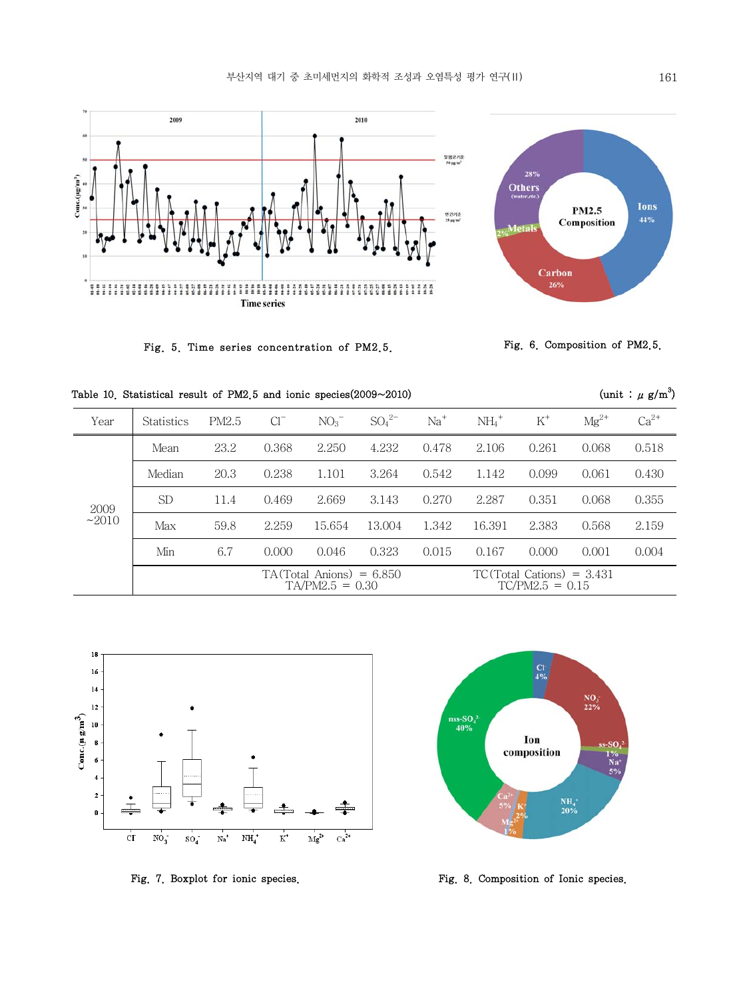



Fig. 5. Time series concentration of PM2.5.



(unit:  $\mu$  g/m<sup>3</sup>)

| Year    | <b>Statistics</b> | PM2.5 | $Cl^{-}$ | NO <sub>3</sub>                                 | $SO_4{}^{2-}$ | $Na+$ | $NH_4$ <sup>+</sup> | $K^+$                                            | $Mg^{2+}$ | $Ca^{2+}$ |
|---------|-------------------|-------|----------|-------------------------------------------------|---------------|-------|---------------------|--------------------------------------------------|-----------|-----------|
|         | Mean              | 23.2  | 0.368    | 2.250                                           | 4.232         | 0.478 | 2.106               | 0.261                                            | 0.068     | 0.518     |
|         | Median            | 20.3  | 0.238    | 1.101                                           | 3.264         | 0.542 | 1.142               | 0.099                                            | 0.061     | 0.430     |
| 2009    | <b>SD</b>         | 11.4  | 0.469    | 2.669                                           | 3.143         | 0.270 | 2.287               | 0.351                                            | 0.068     | 0.355     |
| $-2010$ | Max               | 59.8  | 2.259    | 15.654                                          | 13.004        | 1.342 | 16.391              | 2.383                                            | 0.568     | 2.159     |
|         | Min               | 6.7   | 0.000    | 0.046                                           | 0.323         | 0.015 | 0.167               | 0.000                                            | 0.001     | 0.004     |
|         |                   |       |          | $TA(Total$ Anions) = 6.850<br>$TA/PM2.5 = 0.30$ |               |       |                     | $TC(Total Cations) = 3.431$<br>$TC/PM2.5 = 0.15$ |           |           |







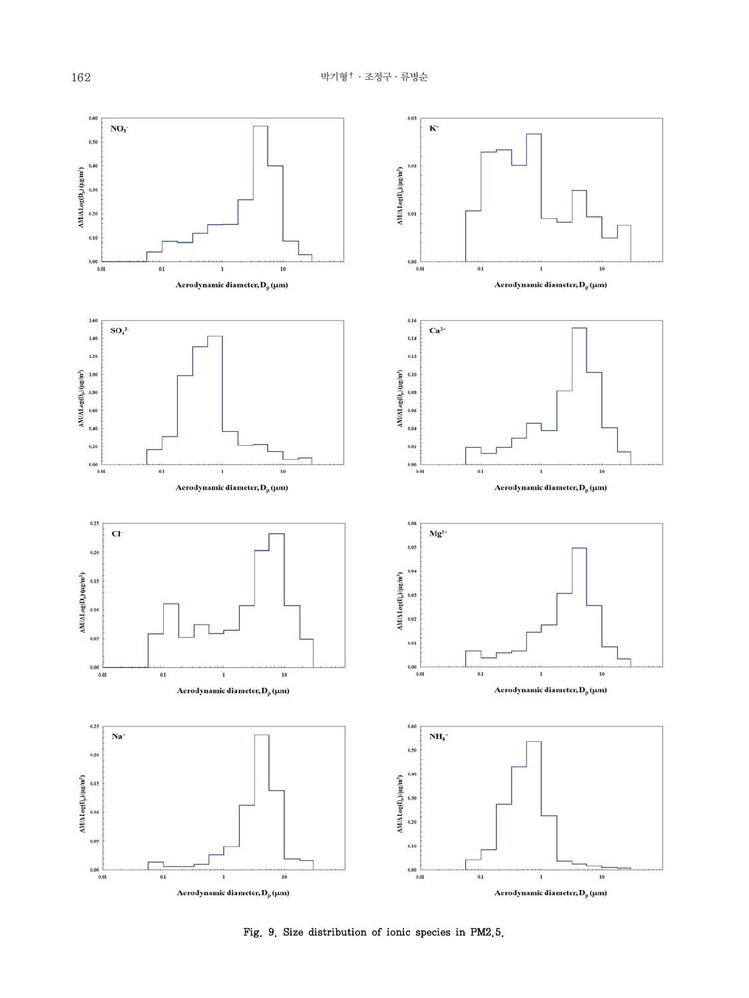

Fig. 9. Size distribution of ionic species in PM2.5.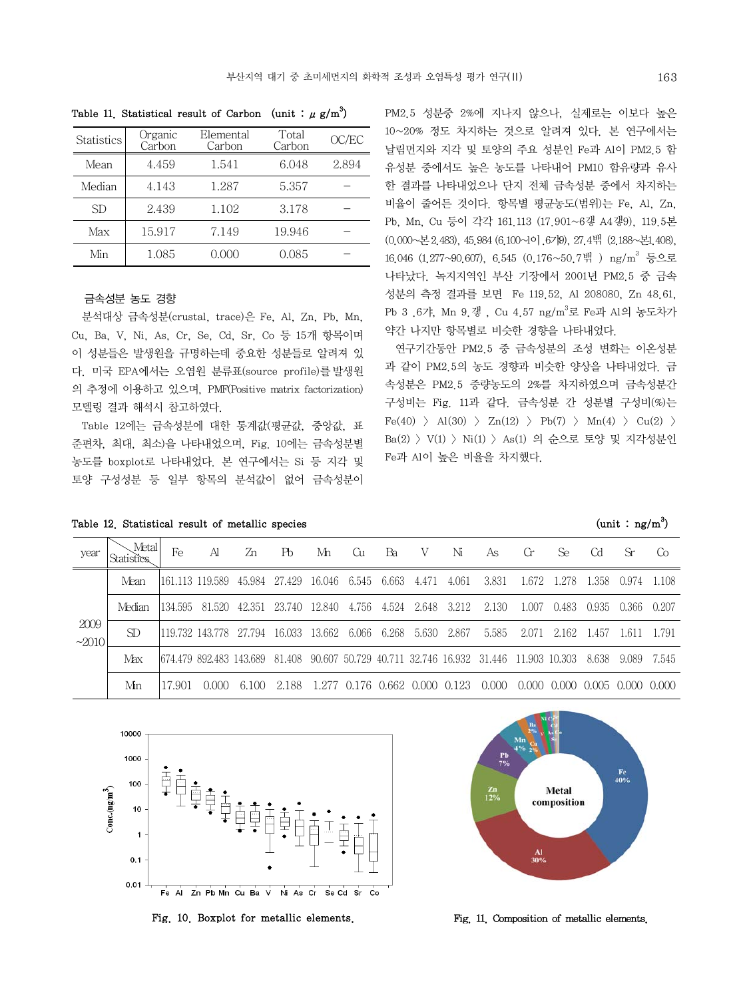| <b>Statistics</b> | Organic<br>Carbon | Elemental<br>Carbon | Total<br>Carbon | OC/EC |
|-------------------|-------------------|---------------------|-----------------|-------|
| Mean              | 4.459             | 1.541               | 6.048           | 2.894 |
| Median            | 4.143             | 1.287               | 5.357           |       |
| SD                | 2.439             | 1.102               | 3.178           |       |
| Max               | 15.917            | 7.149               | 19.946          |       |
| Min               | 1.085             | 0.000               | 0.085           |       |

Table 11. Statistical result of Carbon (unit :  $\mu$  g/m<sup>3</sup>)

#### 금속성분 농도 경향

 분석대상 금속성분(crustal, trace)은 Fe, Al, Zn, Pb, Mn, Cu, Ba, V, Ni, As, Cr, Se, Cd, Sr, Co 등 15개 항목이며 이 성분들은 발생원을 규명하는데 중요한 성분들로 알려져 있 다. 미국 EPA에서는 오염원 분류표(source profile)를발생원 의 추정에 이용하고 있으며, PMF(Positive matrix factorization) 모델링 결과 해석시 참고하였다.

 Table 12에는 금속성분에 대한 통계값(평균값, 중앙값, 표 준편차, 최대, 최소)을 나타내었으며, Fig. 10에는 금속성분별 농도를 boxplot로 나타내었다. 본 연구에서는 Si 등 지각 및 토양 구성성분 등 일부 항목의 분석값이 없어 금속성분이

| Table 12. Statistical result of metallic species | (unit : $ng/m^3$ ) |  |  |
|--------------------------------------------------|--------------------|--|--|
|--------------------------------------------------|--------------------|--|--|

PM2.5 성분중 2%에 지나지 않으나, 실제로는 이보다 높은 10~20% 정도 차지하는 것으로 알려져 있다. 본 연구에서는 날림먼지와 지각 및 토양의 주요 성분인 Fe과 Al이 PM2.5 함 유성분 중에서도 높은 농도를 나타내어 PM10 함유량과 유사 한 결과를 나타내었으나 단지 전체 금속성분 중에서 차지하는 비율이 줄어든 것이다. 항목별 평균농도(범위)는 Fe, Al, Zn, Pb, Mn, Cu 등이 각각 161.113 (17.901~6갷 A4갷9), 119.5본 (0.000~본 2.483), 45.984 (6.100~l이 .6갸9), 27.4밲 (2.188~본1.408), 16.046 (1.277~90.607), 6.545 (0.176~50.7밲 ) ng/m3 등으로 나타났다. 녹지지역인 부산 기장에서 2001년 PM2.5 중 금속 성분의 측정 결과를 보면 Fe 119.52, Al 208080, Zn 48.61, Pb 3 .6갸, Mn 9.갷 , Cu 4.57 ng/m3 로 Fe과 Al의 농도차가 약간 나지만 항목별로 비슷한 경향을 나타내었다.

 연구기간동안 PM2.5 중 금속성분의 조성 변화는 이온성분 과 같이 PM2.5의 농도 경향과 비슷한 양상을 나타내었다. 금 속성분은 PM2.5 중량농도의 2%를 차지하였으며 금속성분간 구성비는 Fig. 11과 같다. 금속성분 간 성분별 구성비(%)는  $Fe(40)$  > Al(30) > Zn(12) > Pb(7) > Mn(4) > Cu(2) > Ba(2) > V(1) > Ni(1) > As(1) 의 순으로 토양 및 지각성분인 Fe과 Al이 높은 비율을 차지했다.

| year            | Metal  | Fe      | Al                              | 7n     | Ph     | Mn       | Gи                      | Bа    | V     | Nī                                 | As       | Gr.     | Se.    | Cd.   | Sr      | Co    |
|-----------------|--------|---------|---------------------------------|--------|--------|----------|-------------------------|-------|-------|------------------------------------|----------|---------|--------|-------|---------|-------|
| 2009<br>$-2010$ | Mean   |         | 1161.113 119.589                | 45.984 | 27.429 | 16.046   | 6.545                   | 6.663 | 4.471 | 4.061                              | 3.831    | 1.672   | 1.278  | 1.358 | 0.974   | 1.108 |
|                 | Median | 134.595 | 81.520                          | 42.351 | 23.740 | 12.840   | 4.756                   | 4.524 | 2.648 | 3.212                              | 2.130    | 1.007   | 0.483  | 0.935 | 0.366   | 0.207 |
|                 | SD.    |         | 119.732 143.778 27.794 16.033   |        |        | 13.662   | 6.066                   | 6.268 | 5.630 | 2.867                              | 5.585    | 2.071   | 2.162  | 1.457 | 1.611   | 1.791 |
|                 | Max    |         | 1674.479 892.483 143.689 81.408 |        |        |          |                         |       |       | 90.607 50.729 40.711 32.746 16.932 | 31.446 1 | 11.903- | 10.303 | 8.638 | 9.089   | 7.545 |
|                 | Min    | 17901   | 0.000                           | 6.100  | 2.188  | - 1 2.77 | 0.176 0.662 0.000 0.123 |       |       |                                    | 0.000    | 0.000   | 0.000  | 0.005 | - 0.000 | 0.000 |



Fig. 10. Boxplot for metallic elements.



Fig. 11. Composition of metallic elements.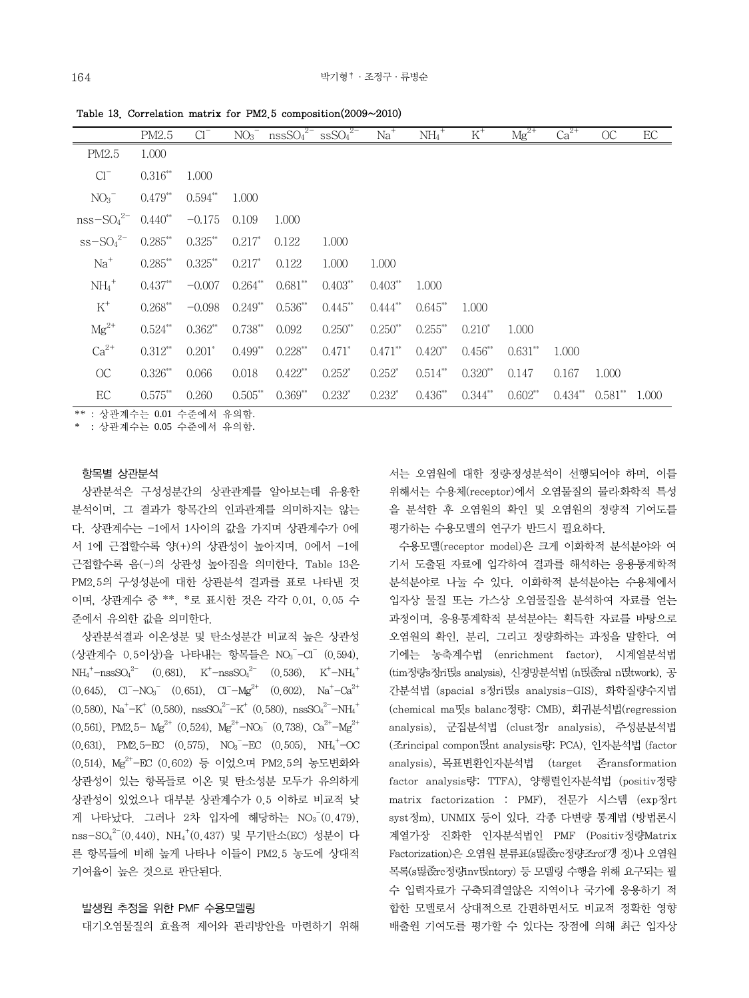|                     | PM2.5      | $Cl^{-}$   |            | $NO_3$ <sup>-</sup> $nssSO_4$ <sup>2-</sup> $ssSO_4$ <sup>2-</sup> |              | $Na+$       | $NH_4$ <sup>+</sup> | $K^+$      | $Mg^{2+}$ | $Ca2+$ | OC                              | EC |
|---------------------|------------|------------|------------|--------------------------------------------------------------------|--------------|-------------|---------------------|------------|-----------|--------|---------------------------------|----|
| PM2.5               | 1.000      |            |            |                                                                    |              |             |                     |            |           |        |                                 |    |
| $Cl^{-}$            | $0.316**$  | 1.000      |            |                                                                    |              |             |                     |            |           |        |                                 |    |
| $NO_3$ <sup>-</sup> | $0.479**$  | $0.594**$  | 1.000      |                                                                    |              |             |                     |            |           |        |                                 |    |
| $nss-SO42- 0.440**$ |            | $-0.175$   | 0.109      | 1.000                                                              |              |             |                     |            |           |        |                                 |    |
| $ss-SO42–$          | $0.285$ ** | $0.325***$ | $0.217*$   | 0.122                                                              | 1.000        |             |                     |            |           |        |                                 |    |
| $Na+$               | $0.285$ ** | $0.325***$ | $0.217*$   | 0.122                                                              | 1.000        | 1.000       |                     |            |           |        |                                 |    |
| $NH_4$ <sup>+</sup> | $0.437***$ | $-0.007$   |            | $0.264^{**}$ $0.681^{**}$                                          | $0.403**$    | $0.403**$   | 1.000               |            |           |        |                                 |    |
| $K^+$               | $0.268***$ | $-0.098$   |            | $0.249^{**}$ $0.536^{**}$                                          | $0.445***$   | $0.444$ **  | $0.645**$           | 1.000      |           |        |                                 |    |
| $Mg^{2+}$           | $0.524**$  | $0.362**$  | $0.738***$ | 0.092                                                              | $0.250^{**}$ | $0.250**$   | $0.255$ **          | $0.210*$   | 1.000     |        |                                 |    |
| $Ca^{2+}$           | $0.312**$  | $0.201*$   | $0.499**$  | $0.228***$                                                         | $0.471*$     | $0.471$ **  | $0.420**$           | $0.456***$ | $0.631**$ | 1.000  |                                 |    |
| OC                  | $0.326**$  | 0.066      | 0.018      | $0.422**$                                                          | $0.252^*$    | $0.252^*$   | $0.514$ **          | $0.320**$  | 0.147     | 0.167  | 1.000                           |    |
| EC                  | $0.575$ ** | 0.260      | $0.505***$ | $0.369**$                                                          | $0.232^{*}$  | $0.232^{*}$ | $0.436**$           | $0.344**$  | $0.602**$ |        | $0.434^{**}$ $0.581^{**}$ 1.000 |    |

Table 13. Correlation matrix for PM2.5 composition(2009~2010)

\*\* : 상관계수는 0.01 수준에서 유의함.

\* : 상관계수는 0.05 수준에서 유의함.

## 항목별 상관분석

 상관분석은 구성성분간의 상관관계를 알아보는데 유용한 분석이며, 그 결과가 항목간의 인과관계를 의미하지는 않는 다. 상관계수는 -1에서 1사이의 값을 가지며 상관계수가 0에 서 1에 근접할수록 양(+)의 상관성이 높아지며, 0에서 -1에 근접할수록 음(-)의 상관성 높아짐을 의미한다. Table 13은 PM2.5의 구성성분에 대한 상관분석 결과를 표로 나타낸 것 이며, 상관계수 중 \*\*, \*로 표시한 것은 각각 0.01, 0.05 수 준에서 유의한 값을 의미한다.

 상관분석결과 이온성분 및 탄소성분간 비교적 높은 상관성 (상관계수 0.5이상)을 나타내는 항목들은 NO3 -Cl<sup>-</sup> (0.594),  $NH_4^+$ -nssSO<sub>4</sub><sup>2-</sup> (0.681), K<sup>+</sup>-nssSO<sub>4</sub><sup>2-</sup> (0.536), K<sup>+</sup>-NH<sub>4</sub><sup>+</sup>  $(0.645)$ ,  $Cl^{-} - NO_{3}^{-}$   $(0.651)$ ,  $Cl^{-} - Mg^{2+}$   $(0.602)$ ,  $Na^{+} - Ca^{2+}$  $(0.580)$ , Na<sup>+</sup>-K<sup>+</sup>  $(0.580)$ , nssSO<sub>4</sub><sup>2-</sup>-K<sup>+</sup>  $(0.580)$ , nssSO<sub>4</sub><sup>2-</sup>-NH<sub>4</sub><sup>+</sup>  $(0.561)$ , PM2.5- Mg<sup>2+</sup>  $(0.524)$ , Mg<sup>2+</sup>-NO<sub>3</sub><sup>-</sup>  $(0.738)$ , Ca<sup>2+</sup>-Mg<sup>2+</sup>  $(0.631)$ , PM2.5-EC  $(0.575)$ , NO<sub>3</sub>-EC  $(0.505)$ , NH<sub>4</sub><sup>+</sup>-OC (0.514), Mg2+-EC (0.602) 등 이었으며 PM2.5의 농도변화와 상관성이 있는 항목들로 이온 및 탄소성분 모두가 유의하게 상관성이 있었으나 대부분 상관계수가 0.5 이하로 비교적 낮 게 나타났다. 그러나 2차 입자에 해당하는 NO3<sup>-</sup>(0.479), nss-SO $_4^{2-}(0.440)$ , NH $_4^{+}(0.437)$  및 무기탄소(EC) 성분이 다 른 항목들에 비해 높게 나타나 이들이 PM2.5 농도에 상대적 기여율이 높은 것으로 판단된다.

#### 발생원 추정을 위한 PMF 수용모델링

대기오염물질의 효율적 제어와 관리방안을 마련하기 위해

서는 오염원에 대한 정량․정성분석이 선행되어야 하며, 이를 위해서는 수용체(receptor)에서 오염물질의 물리․화학적 특성 을 분석한 후 오염원의 확인 및 오염원의 정량적 기여도를 평가하는 수용모델의 연구가 반드시 필요하다.

 수용모델(receptor model)은 크게 이화학적 분석분야와 여 기서 도출된 자료에 입각하여 결과를 해석하는 응용통계학적 분석분야로 나눌 수 있다. 이화학적 분석분야는 수용체에서 입자상 물질 또는 가스상 오염물질을 분석하여 자료를 얻는 과정이며, 응용통계학적 분석분야는 획득한 자료를 바탕으로 오염원의 확인, 분리, 그리고 정량화하는 과정을 말한다. 여 기에는 농축계수법 (enrichment factor), 시계열분석법 (tim정량s정ri띥s analysis), 신경망분석법 (n띥졵ral n띥twork), 공 간분석법 (spacial s정ri띥s analysis-GIS), 화학질량수지법 (chemical ma띳s balanc정량: CMB), 회귀분석법(regression analysis), 군집분석법 (clust정r analysis), 주성분분석법 (조rincipal compon띥nt analysis량: PCA), 인자분석법 (factor analysis), 목표변환인자분석법 (target 존ransformation factor analysis량: TTFA), 양행렬인자분석법 (positiv정량 matrix factorization : PMF), 전문가 시스템 (exp정rt syst정m), UNMIX 등이 있다. 각종 다변량 통계법 (방법론시 계열가장 진화한 인자분석법인 PMF (Positiv정량Matrix Factorization)은 오염원 분류표(s띯졵rc정량조rof걩 정)나 오염원 목록(s띯졵rc정량inv띥ntory) 등 모델링 수행을 위해 요구되는 필 수 입력자료가 구축되곀열않은 지역이나 국가에 응용하기 적 합한 모델로서 상대적으로 간편하면서도 비교적 정확한 영향 배출원 기여도를 평가할 수 있다는 장점에 의해 최근 입자상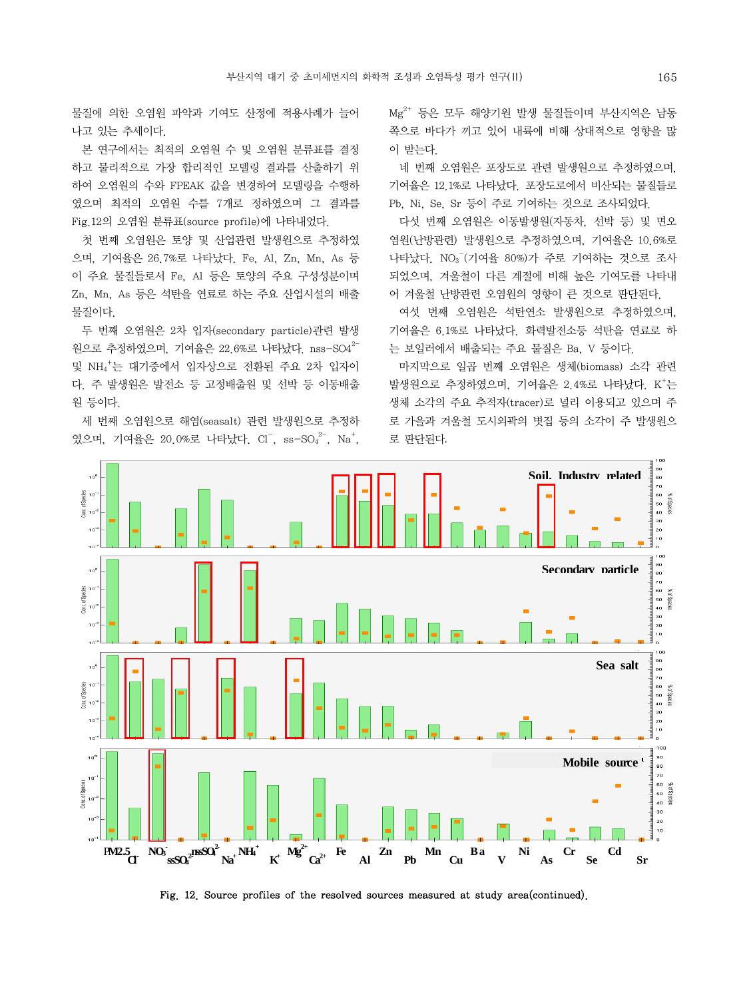물질에 의한 오염원 파악과 기여도 산정에 적용사례가 늘어 나고 있는 추세이다.

 본 연구에서는 최적의 오염원 수 및 오염원 분류표를 결정 하고 물리적으로 가장 합리적인 모델링 결과를 산출하기 위 하여 오염원의 수와 FPEAK 값을 변경하여 모델링을 수행하 였으며 최적의 오염원 수를 7개로 정하였으며 그 결과를 Fig.12의 오염원 분류표(source profile)에 나타내었다.

 첫 번째 오염원은 토양 및 산업관련 발생원으로 추정하였 으며, 기여율은 26.7%로 나타났다. Fe, Al, Zn, Mn, As 등 이 주요 물질들로서 Fe, Al 등은 토양의 주요 구성성분이며 Zn, Mn, As 등은 석탄을 연료로 하는 주요 산업시설의 배출 물질이다.

 두 번째 오염원은 2차 입자(secondary particle)관련 발생  $22.6\%$ 로 추정하였으며, 기여율은 22.6%로 나타났다. nss-SO4 $^{2-}$ 및 NH4 + 는 대기중에서 입자상으로 전환된 주요 2차 입자이 다. 주 발생원은 발전소 등 고정배출원 및 선박 등 이동배출 원 등이다.

 세 번째 오염원으로 해염(seasalt) 관련 발생원으로 추정하 였으며, 기여율은 20.0%로 나타났다. Cl<sup>-</sup>, ss-SO<sub>4</sub><sup>2-</sup>, Na<sup>+</sup>, Mg2+ 등은 모두 해양기원 발생 물질들이며 부산지역은 남동 쪽으로 바다가 끼고 있어 내륙에 비해 상대적으로 영향을 많 이 받는다.

 네 번째 오염원은 포장도로 관련 발생원으로 추정하였으며, 기여율은 12.1%로 나타났다. 포장도로에서 비산되는 물질들로 Pb, Ni, Se, Sr 등이 주로 기여하는 것으로 조사되었다.

 다섯 번째 오염원은 이동발생원(자동차, 선박 등) 및 면오 염원(난방관련) 발생원으로 추정하였으며, 기여율은 10.6%로 나타났다. NO3 - (기여율 80%)가 주로 기여하는 것으로 조사 되었으며, 겨울철이 다른 계절에 비해 높은 기여도를 나타내 어 겨울철 난방관련 오염원의 영향이 큰 것으로 판단된다.

 여섯 번째 오염원은 석탄연소 발생원으로 추정하였으며, 기여율은 6.1%로 나타났다. 화력발전소등 석탄을 연료로 하 는 보일러에서 배출되는 주요 물질은 Ba, V 등이다.

 마지막으로 일곱 번째 오염원은 생체(biomass) 소각 관련 발생원으로 추정하였으며, 기여율은 2.4%로 나타났다. K<sup>+</sup>는 생체 소각의 주요 추적자(tracer)로 널리 이용되고 있으며 주 로 가을과 겨울철 도시외곽의 볏집 등의 소각이 주 발생원으 로 판단된다.



Fig. 12. Source profiles of the resolved sources measured at study area(continued).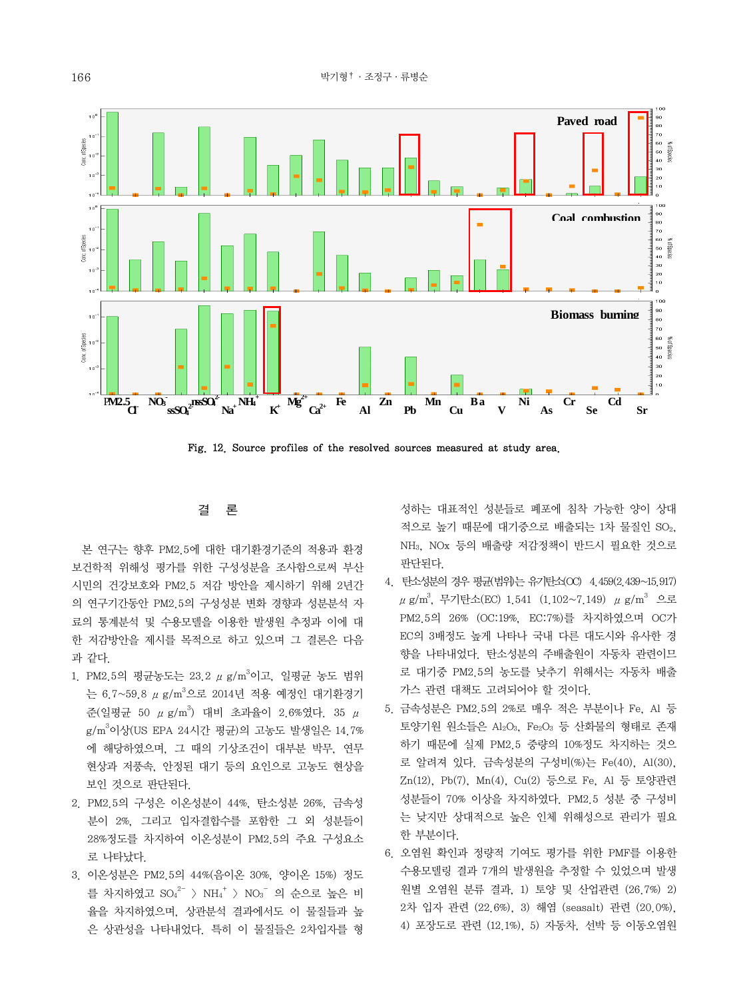

Fig. 12. Source profiles of the resolved sources measured at study area.

## 결 론

 본 연구는 향후 PM2.5에 대한 대기환경기준의 적용과 환경 보건학적 위해성 평가를 위한 구성성분을 조사함으로써 부산 시민의 건강보호와 PM2.5 저감 방안을 제시하기 위해 2년간 의 연구기간동안 PM2.5의 구성성분 변화 경향과 성분분석 자 료의 통계분석 및 수용모델을 이용한 발생원 추정과 이에 대 한 저감방안을 제시를 목적으로 하고 있으며 그 결론은 다음 과 같다.

- 1. PM2.5의 평균농도는 23.2 μg/m<sup>3</sup>이고, 일평균 농도 범위 는 6.7~59.8 μ g/m<sup>3</sup>으로 2014년 적용 예정인 대기환경기 준(일평균 50  $\mu$  g/m<sup>3</sup>) 대비 초과율이 2.6%였다. 35  $\mu$ g/m<sup>3</sup>이상(US EPA 24시간 평균)의 고농도 발생일은 14.7% 에 해당하였으며, 그 때의 기상조건이 대부분 박무, 연무 현상과 저풍속, 안정된 대기 등의 요인으로 고농도 현상을 보인 것으로 판단된다.
- 2. PM2.5의 구성은 이온성분이 44%, 탄소성분 26%, 금속성 분이 2%, 그리고 입자결합수를 포함한 그 외 성분들이 28%정도를 차지하여 이온성분이 PM2.5의 주요 구성요소 로 나타났다.
- 3. 이온성분은 PM2.5의 44%(음이온 30%, 양이온 15%) 정도 를 차지하였고  ${\rm SO_4}^{2-}$   $>$   ${\rm NH_4}^{+}$   $>$   ${\rm NO_3}^{-}$  의 순으로 높은 비 율을 차지하였으며, 상관분석 결과에서도 이 물질들과 높 은 상관성을 나타내었다. 특히 이 물질들은 2차입자를 형

성하는 대표적인 성분들로 폐포에 침착 가능한 양이 상대 적으로 높기 때문에 대기중으로 배출되는 1차 물질인 SO2, NH3, NOx 등의 배출량 저감정책이 반드시 필요한 것으로 판단된다.

- 4. 탄소성분의 경우 평균(범위)는 유기탄소(OC) 4.459(2.439~15.917)  $\mu$  g/m $^3$ , 무기탄소(EC) 1.541 (1.102~7.149)  $\mu$  g/m $^3$  으로 PM2.5의 26% (OC:19%, EC:7%)를 차지하였으며 OC가 EC의 3배정도 높게 나타나 국내 다른 대도시와 유사한 경 향을 나타내었다. 탄소성분의 주배출원이 자동차 관련이므 로 대기중 PM2.5의 농도를 낮추기 위해서는 자동차 배출 가스 관련 대책도 고려되어야 할 것이다.
- 5. 금속성분은 PM2.5의 2%로 매우 적은 부분이나 Fe, Al 등 토양기원 원소들은 Al2O3, Fe2O3 등 산화물의 형태로 존재 하기 때문에 실제 PM2.5 중량의 10%정도 차지하는 것으 로 알려져 있다. 금속성분의 구성비(%)는 Fe(40), Al(30), Zn(12), Pb(7), Mn(4), Cu(2) 등으로 Fe, Al 등 토양관련 성분들이 70% 이상을 차지하였다. PM2.5 성분 중 구성비 는 낮지만 상대적으로 높은 인체 위해성으로 관리가 필요 한 부분이다.
- 6. 오염원 확인과 정량적 기여도 평가를 위한 PMF를 이용한 수용모델링 결과 7개의 발생원을 추정할 수 있었으며 발생 원별 오염원 분류 결과, 1) 토양 및 산업관련 (26.7%) 2) 2차 입자 관련 (22.6%), 3) 해염 (seasalt) 관련 (20.0%), 4) 포장도로 관련 (12.1%), 5) 자동차, 선박 등 이동오염원